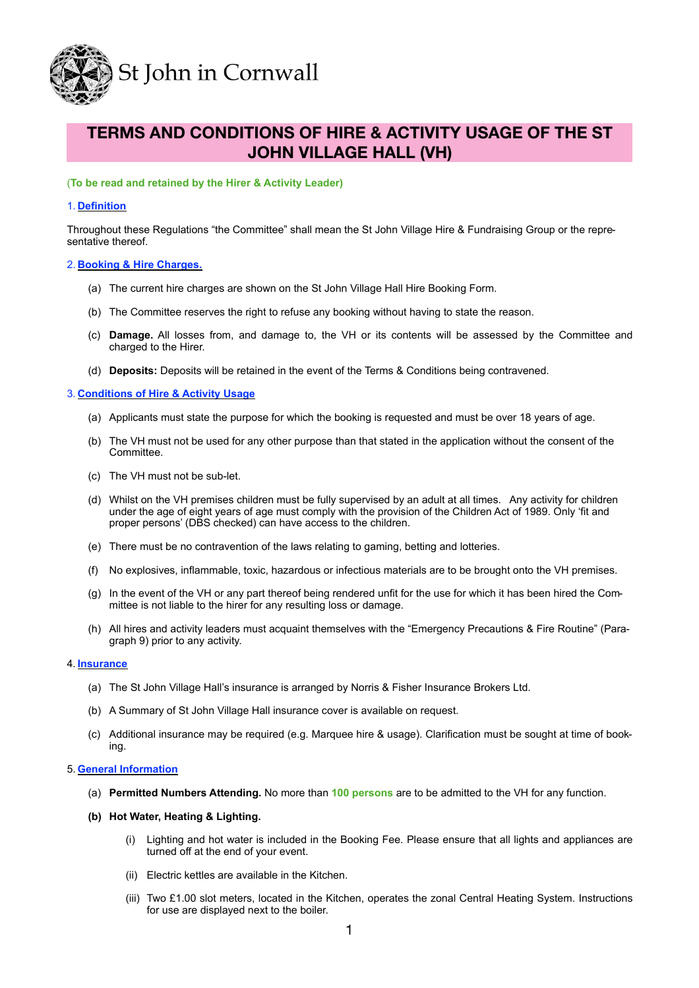

# **TERMS AND CONDITIONS OF HIRE & ACTIVITY USAGE OF THE ST JOHN VILLAGE HALL (VH)**

# (**To be read and retained by the Hirer & Activity Leader)**

# 1. **Definition**

Throughout these Regulations "the Committee" shall mean the St John Village Hire & Fundraising Group or the representative thereof.

## 2. **Booking & Hire Charges.**

- (a) The current hire charges are shown on the St John Village Hall Hire Booking Form.
- (b) The Committee reserves the right to refuse any booking without having to state the reason.
- (c) **Damage.** All losses from, and damage to, the VH or its contents will be assessed by the Committee and charged to the Hirer.
- (d) **Deposits:** Deposits will be retained in the event of the Terms & Conditions being contravened.

# 3. **Conditions of Hire & Activity Usage**

- (a) Applicants must state the purpose for which the booking is requested and must be over 18 years of age.
- (b) The VH must not be used for any other purpose than that stated in the application without the consent of the Committee.
- (c) The VH must not be sub-let.
- (d) Whilst on the VH premises children must be fully supervised by an adult at all times. Any activity for children under the age of eight years of age must comply with the provision of the Children Act of 1989. Only 'fit and proper persons' (DBS checked) can have access to the children.
- (e) There must be no contravention of the laws relating to gaming, betting and lotteries.
- (f) No explosives, inflammable, toxic, hazardous or infectious materials are to be brought onto the VH premises.
- (g) In the event of the VH or any part thereof being rendered unfit for the use for which it has been hired the Committee is not liable to the hirer for any resulting loss or damage.
- (h) All hires and activity leaders must acquaint themselves with the "Emergency Precautions & Fire Routine" (Paragraph 9) prior to any activity.

## 4. **Insurance**

- (a) The St John Village Hall's insurance is arranged by Norris & Fisher Insurance Brokers Ltd.
- (b) A Summary of St John Village Hall insurance cover is available on request.
- (c) Additional insurance may be required (e.g. Marquee hire & usage). Clarification must be sought at time of booking.

## 5. **General Information**

- (a) **Permitted Numbers Attending.** No more than **100 persons** are to be admitted to the VH for any function.
- **(b) Hot Water, Heating & Lighting.** 
	- (i) Lighting and hot water is included in the Booking Fee. Please ensure that all lights and appliances are turned off at the end of your event.
	- (ii) Electric kettles are available in the Kitchen.
	- (iii) Two £1.00 slot meters, located in the Kitchen, operates the zonal Central Heating System. Instructions for use are displayed next to the boiler.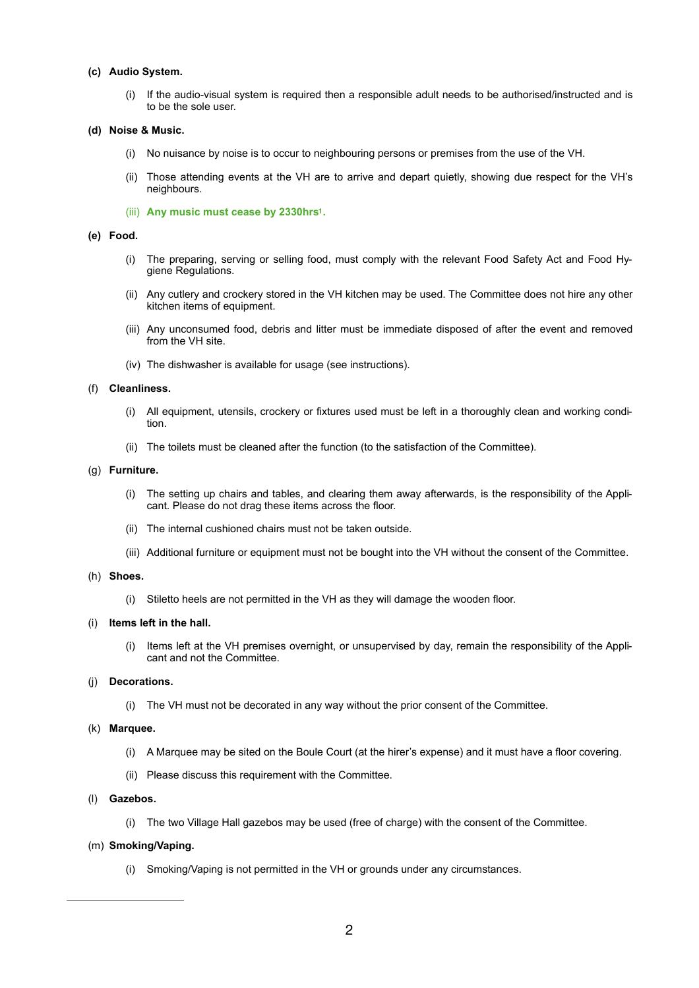# **(c) Audio System.**

(i) If the audio-visual system is required then a responsible adult needs to be authorised/instructed and is to be the sole user.

#### **(d) Noise & Music.**

- (i) No nuisance by noise is to occur to neighbouring persons or premises from the use of the VH.
- (ii) Those attending events at the VH are to arrive and depart quietly, showing due respect for the VH's neighbours.
- (iii) Any music must cease by 2330hrs<sup>1</sup>.

## **(e) Food.**

- (i) The preparing, serving or selling food, must comply with the relevant Food Safety Act and Food Hygiene Regulations.
- (ii) Any cutlery and crockery stored in the VH kitchen may be used. The Committee does not hire any other kitchen items of equipment.
- (iii) Any unconsumed food, debris and litter must be immediate disposed of after the event and removed from the VH site.
- (iv) The dishwasher is available for usage (see instructions).

## (f) **Cleanliness.**

- (i) All equipment, utensils, crockery or fixtures used must be left in a thoroughly clean and working condition.
- (ii) The toilets must be cleaned after the function (to the satisfaction of the Committee).

#### (g) **Furniture.**

- (i) The setting up chairs and tables, and clearing them away afterwards, is the responsibility of the Applicant. Please do not drag these items across the floor.
- (ii) The internal cushioned chairs must not be taken outside.
- (iii) Additional furniture or equipment must not be bought into the VH without the consent of the Committee.

#### (h) **Shoes.**

(i) Stiletto heels are not permitted in the VH as they will damage the wooden floor.

# (i) **Items left in the hall.**

(i) Items left at the VH premises overnight, or unsupervised by day, remain the responsibility of the Applicant and not the Committee.

# (j) **Decorations.**

(i) The VH must not be decorated in any way without the prior consent of the Committee.

## (k) **Marquee.**

- (i) A Marquee may be sited on the Boule Court (at the hirer's expense) and it must have a floor covering.
- (ii) Please discuss this requirement with the Committee.

## (l) **Gazebos.**

(i) The two Village Hall gazebos may be used (free of charge) with the consent of the Committee.

# (m) **Smoking/Vaping.**

(i) Smoking/Vaping is not permitted in the VH or grounds under any circumstances.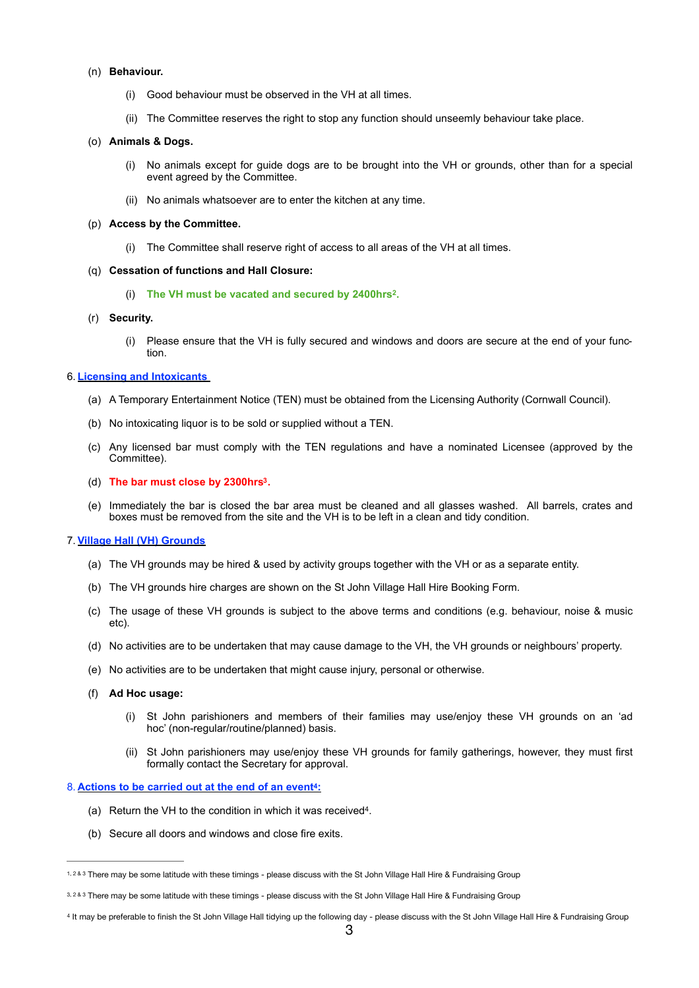#### (n) **Behaviour.**

- (i) Good behaviour must be observed in the VH at all times.
- (ii) The Committee reserves the right to stop any function should unseemly behaviour take place.

#### (o) **Animals & Dogs.**

- (i) No animals except for guide dogs are to be brought into the VH or grounds, other than for a special event agreed by the Committee.
- (ii) No animals whatsoever are to enter the kitchen at any time.

#### (p) **Access by the Committee.**

(i) The Committee shall reserve right of access to all areas of the VH at all times.

#### (q) **Cessation of functions and Hall Closure:**

(i) The VH must be vacated and secured by 2400hrs<sup>2</sup>.

# (r) **Security.**

(i) Please ensure that the VH is fully secured and windows and doors are secure at the end of your function.

#### 6. **Licensing and Intoxicants**

- (a) A Temporary Entertainment Notice (TEN) must be obtained from the Licensing Authority (Cornwall Council).
- (b) No intoxicating liquor is to be sold or supplied without a TEN.
- (c) Any licensed bar must comply with the TEN regulations and have a nominated Licensee (approved by the Committee).
- <span id="page-2-2"></span>(d) **The bar must close by 2300hrs [.](#page-2-0) [3](#page-2-0)**
- (e) Immediately the bar is closed the bar area must be cleaned and all glasses washed. All barrels, crates and boxes must be removed from the site and the VH is to be left in a clean and tidy condition.

#### 7.**Village Hall (VH) Grounds**

- (a) The VH grounds may be hired & used by activity groups together with the VH or as a separate entity.
- (b) The VH grounds hire charges are shown on the St John Village Hall Hire Booking Form.
- (c) The usage of these VH grounds is subject to the above terms and conditions (e.g. behaviour, noise & music etc).
- (d) No activities are to be undertaken that may cause damage to the VH, the VH grounds or neighbours' property.
- (e) No activities are to be undertaken that might cause injury, personal or otherwise.
- (f) **Ad Hoc usage:** 
	- (i) St John parishioners and members of their families may use/enjoy these VH grounds on an 'ad hoc' (non-regular/routine/planned) basis.
	- (ii) St John parishioners may use/enjoy these VH grounds for family gatherings, however, they must first formally contact the Secretary for approval.

#### 8. Actions to be carried out at the end of an event<sup>4</sup>[:](#page-2-1)

- <span id="page-2-3"></span>(a) Return the VH to the condition in which it was received4.
- (b) Secure all doors and windows and close fire exits.

<sup>1, 2 &</sup>amp; 3 There may be some latitude with these timings - please discuss with the St John Village Hall Hire & Fundraising Group

<span id="page-2-0"></span>[<sup>3</sup>](#page-2-2), 2 & 3 There may be some latitude with these timings - please discuss with the St John Village Hall Hire & Fundraising Group

<span id="page-2-1"></span>[<sup>4</sup>](#page-2-3) It may be preferable to finish the St John Village Hall tidying up the following day - please discuss with the St John Village Hall Hire & Fundraising Group